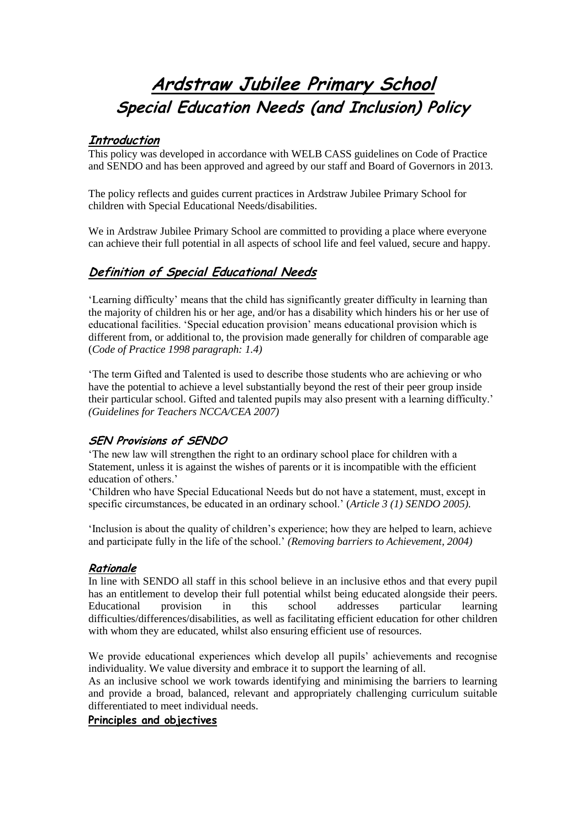# **Ardstraw Jubilee Primary School Special Education Needs (and Inclusion) Policy**

# **Introduction**

This policy was developed in accordance with WELB CASS guidelines on Code of Practice and SENDO and has been approved and agreed by our staff and Board of Governors in 2013.

The policy reflects and guides current practices in Ardstraw Jubilee Primary School for children with Special Educational Needs/disabilities.

We in Ardstraw Jubilee Primary School are committed to providing a place where everyone can achieve their full potential in all aspects of school life and feel valued, secure and happy.

# **Definition of Special Educational Needs**

'Learning difficulty' means that the child has significantly greater difficulty in learning than the majority of children his or her age, and/or has a disability which hinders his or her use of educational facilities. 'Special education provision' means educational provision which is different from, or additional to, the provision made generally for children of comparable age (*Code of Practice 1998 paragraph: 1.4)*

'The term Gifted and Talented is used to describe those students who are achieving or who have the potential to achieve a level substantially beyond the rest of their peer group inside their particular school. Gifted and talented pupils may also present with a learning difficulty.' *(Guidelines for Teachers NCCA/CEA 2007)*

# **SEN Provisions of SENDO**

'The new law will strengthen the right to an ordinary school place for children with a Statement, unless it is against the wishes of parents or it is incompatible with the efficient education of others.'

'Children who have Special Educational Needs but do not have a statement, must, except in specific circumstances, be educated in an ordinary school.' (*Article 3 (1) SENDO 2005).*

'Inclusion is about the quality of children's experience; how they are helped to learn, achieve and participate fully in the life of the school.' *(Removing barriers to Achievement, 2004)*

## **Rationale**

In line with SENDO all staff in this school believe in an inclusive ethos and that every pupil has an entitlement to develop their full potential whilst being educated alongside their peers. Educational provision in this school addresses particular learning difficulties/differences/disabilities, as well as facilitating efficient education for other children with whom they are educated, whilst also ensuring efficient use of resources.

We provide educational experiences which develop all pupils' achievements and recognise individuality. We value diversity and embrace it to support the learning of all.

As an inclusive school we work towards identifying and minimising the barriers to learning and provide a broad, balanced, relevant and appropriately challenging curriculum suitable differentiated to meet individual needs.

## **Principles and objectives**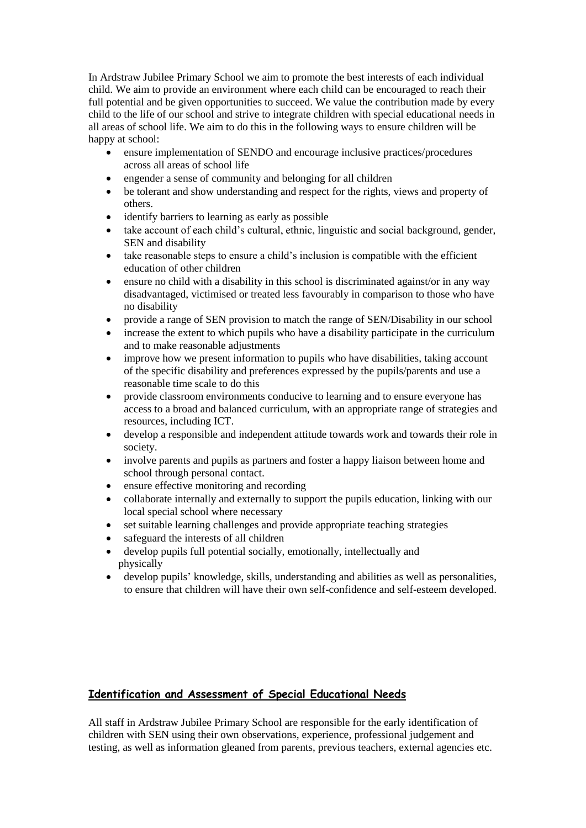In Ardstraw Jubilee Primary School we aim to promote the best interests of each individual child. We aim to provide an environment where each child can be encouraged to reach their full potential and be given opportunities to succeed. We value the contribution made by every child to the life of our school and strive to integrate children with special educational needs in all areas of school life. We aim to do this in the following ways to ensure children will be happy at school:

- ensure implementation of SENDO and encourage inclusive practices/procedures across all areas of school life
- engender a sense of community and belonging for all children
- be tolerant and show understanding and respect for the rights, views and property of others.
- identify barriers to learning as early as possible
- take account of each child's cultural, ethnic, linguistic and social background, gender, SEN and disability
- take reasonable steps to ensure a child's inclusion is compatible with the efficient education of other children
- ensure no child with a disability in this school is discriminated against/or in any way disadvantaged, victimised or treated less favourably in comparison to those who have no disability
- provide a range of SEN provision to match the range of SEN/Disability in our school
- increase the extent to which pupils who have a disability participate in the curriculum and to make reasonable adjustments
- improve how we present information to pupils who have disabilities, taking account of the specific disability and preferences expressed by the pupils/parents and use a reasonable time scale to do this
- provide classroom environments conducive to learning and to ensure everyone has access to a broad and balanced curriculum, with an appropriate range of strategies and resources, including ICT.
- develop a responsible and independent attitude towards work and towards their role in society.
- involve parents and pupils as partners and foster a happy liaison between home and school through personal contact.
- ensure effective monitoring and recording
- collaborate internally and externally to support the pupils education, linking with our local special school where necessary
- set suitable learning challenges and provide appropriate teaching strategies
- safeguard the interests of all children
- develop pupils full potential socially, emotionally, intellectually and physically
- develop pupils' knowledge, skills, understanding and abilities as well as personalities, to ensure that children will have their own self-confidence and self-esteem developed.

# **Identification and Assessment of Special Educational Needs**

All staff in Ardstraw Jubilee Primary School are responsible for the early identification of children with SEN using their own observations, experience, professional judgement and testing, as well as information gleaned from parents, previous teachers, external agencies etc.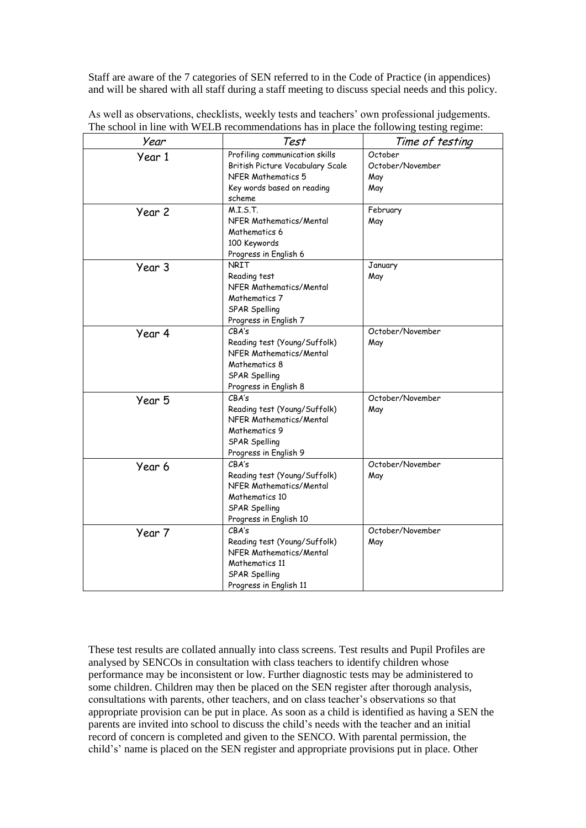Staff are aware of the 7 categories of SEN referred to in the Code of Practice (in appendices) and will be shared with all staff during a staff meeting to discuss special needs and this policy.

|  | As well as observations, checklists, weekly tests and teachers' own professional judgements. |
|--|----------------------------------------------------------------------------------------------|
|  | The school in line with WELB recommendations has in place the following testing regime:      |

| Year   | Test                                                                                                                             | Time of testing                           |
|--------|----------------------------------------------------------------------------------------------------------------------------------|-------------------------------------------|
| Year 1 | Profiling communication skills<br>British Picture Vocabulary Scale<br>NFER Mathematics 5<br>Key words based on reading<br>scheme | October<br>October/November<br>May<br>May |
| Year 2 | M.I.S.T.<br>NFER Mathematics/Mental<br>Mathematics 6<br>100 Keywords<br>Progress in English 6                                    | February<br>May                           |
| Year 3 | <b>NRIT</b><br>Reading test<br>NFER Mathematics/Mental<br>Mathematics 7<br>SPAR Spelling<br>Progress in English 7                | January<br>May                            |
| Year 4 | CBA's<br>Reading test (Young/Suffolk)<br>NFER Mathematics/Mental<br>Mathematics 8<br>SPAR Spelling<br>Progress in English 8      | October/November<br>May                   |
| Year 5 | CBA's<br>Reading test (Young/Suffolk)<br>NFER Mathematics/Mental<br>Mathematics 9<br>SPAR Spelling<br>Progress in English 9      | October/November<br>May                   |
| Year 6 | CBA's<br>Reading test (Young/Suffolk)<br>NFER Mathematics/Mental<br>Mathematics 10<br>SPAR Spelling<br>Progress in English 10    | October/November<br>May                   |
| Year 7 | CBA's<br>Reading test (Young/Suffolk)<br>NFER Mathematics/Mental<br>Mathematics 11<br>SPAR Spelling<br>Progress in English 11    | October/November<br>May                   |

These test results are collated annually into class screens. Test results and Pupil Profiles are analysed by SENCOs in consultation with class teachers to identify children whose performance may be inconsistent or low. Further diagnostic tests may be administered to some children. Children may then be placed on the SEN register after thorough analysis, consultations with parents, other teachers, and on class teacher's observations so that appropriate provision can be put in place. As soon as a child is identified as having a SEN the parents are invited into school to discuss the child's needs with the teacher and an initial record of concern is completed and given to the SENCO. With parental permission, the child's' name is placed on the SEN register and appropriate provisions put in place. Other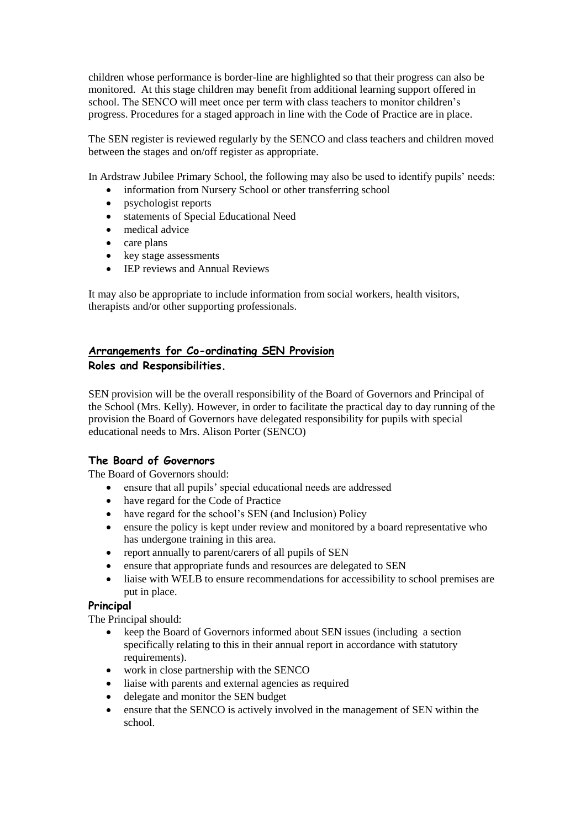children whose performance is border-line are highlighted so that their progress can also be monitored. At this stage children may benefit from additional learning support offered in school. The SENCO will meet once per term with class teachers to monitor children's progress. Procedures for a staged approach in line with the Code of Practice are in place.

The SEN register is reviewed regularly by the SENCO and class teachers and children moved between the stages and on/off register as appropriate.

In Ardstraw Jubilee Primary School, the following may also be used to identify pupils' needs:

- information from Nursery School or other transferring school
- psychologist reports
- statements of Special Educational Need
- medical advice
- care plans
- key stage assessments
- IEP reviews and Annual Reviews

It may also be appropriate to include information from social workers, health visitors, therapists and/or other supporting professionals.

# **Arrangements for Co-ordinating SEN Provision Roles and Responsibilities.**

SEN provision will be the overall responsibility of the Board of Governors and Principal of the School (Mrs. Kelly). However, in order to facilitate the practical day to day running of the provision the Board of Governors have delegated responsibility for pupils with special educational needs to Mrs. Alison Porter (SENCO)

# **The Board of Governors**

The Board of Governors should:

- ensure that all pupils' special educational needs are addressed
- have regard for the Code of Practice
- have regard for the school's SEN (and Inclusion) Policy
- ensure the policy is kept under review and monitored by a board representative who has undergone training in this area.
- report annually to parent/carers of all pupils of SEN
- ensure that appropriate funds and resources are delegated to SEN
- liaise with WELB to ensure recommendations for accessibility to school premises are put in place.

## **Principal**

The Principal should:

- keep the Board of Governors informed about SEN issues (including a section specifically relating to this in their annual report in accordance with statutory requirements).
- work in close partnership with the SENCO
- liaise with parents and external agencies as required
- delegate and monitor the SEN budget
- ensure that the SENCO is actively involved in the management of SEN within the school.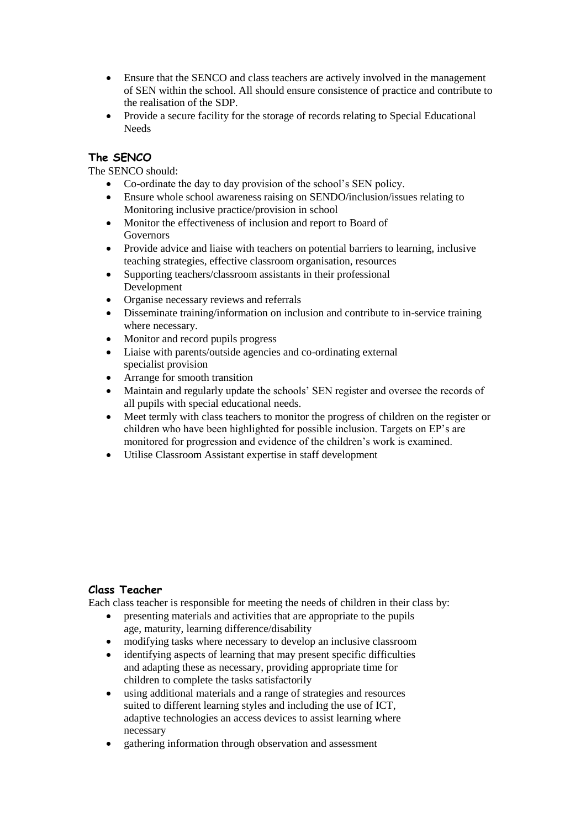- Ensure that the SENCO and class teachers are actively involved in the management of SEN within the school. All should ensure consistence of practice and contribute to the realisation of the SDP.
- Provide a secure facility for the storage of records relating to Special Educational Needs

# **The SENCO**

The SENCO should:

- Co-ordinate the day to day provision of the school's SEN policy.
- Ensure whole school awareness raising on SENDO/inclusion/issues relating to Monitoring inclusive practice/provision in school
- Monitor the effectiveness of inclusion and report to Board of Governors
- Provide advice and liaise with teachers on potential barriers to learning, inclusive teaching strategies, effective classroom organisation, resources
- Supporting teachers/classroom assistants in their professional Development
- Organise necessary reviews and referrals
- Disseminate training/information on inclusion and contribute to in-service training where necessary.
- Monitor and record pupils progress
- Liaise with parents/outside agencies and co-ordinating external specialist provision
- Arrange for smooth transition
- Maintain and regularly update the schools' SEN register and oversee the records of all pupils with special educational needs.
- Meet termly with class teachers to monitor the progress of children on the register or children who have been highlighted for possible inclusion. Targets on EP's are monitored for progression and evidence of the children's work is examined.
- Utilise Classroom Assistant expertise in staff development

# **Class Teacher**

Each class teacher is responsible for meeting the needs of children in their class by:

- presenting materials and activities that are appropriate to the pupils age, maturity, learning difference/disability
- modifying tasks where necessary to develop an inclusive classroom
- identifying aspects of learning that may present specific difficulties and adapting these as necessary, providing appropriate time for children to complete the tasks satisfactorily
- using additional materials and a range of strategies and resources suited to different learning styles and including the use of ICT, adaptive technologies an access devices to assist learning where necessary
- gathering information through observation and assessment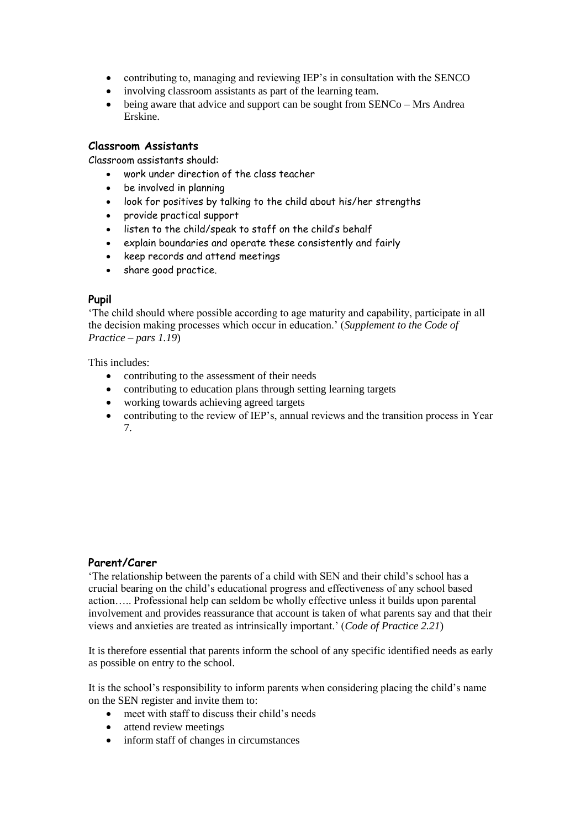- contributing to, managing and reviewing IEP's in consultation with the SENCO
- involving classroom assistants as part of the learning team.
- being aware that advice and support can be sought from SENCo Mrs Andrea Erskine.

#### **Classroom Assistants**

Classroom assistants should:

- work under direction of the class teacher
- be involved in planning
- look for positives by talking to the child about his/her strengths
- provide practical support
- listen to the child/speak to staff on the child's behalf
- explain boundaries and operate these consistently and fairly
- keep records and attend meetings
- share good practice.

#### **Pupil**

'The child should where possible according to age maturity and capability, participate in all the decision making processes which occur in education.' (*Supplement to the Code of Practice – pars 1.19*)

#### This includes:

- contributing to the assessment of their needs
- contributing to education plans through setting learning targets
- working towards achieving agreed targets
- contributing to the review of IEP's, annual reviews and the transition process in Year 7.

#### **Parent/Carer**

'The relationship between the parents of a child with SEN and their child's school has a crucial bearing on the child's educational progress and effectiveness of any school based action….. Professional help can seldom be wholly effective unless it builds upon parental involvement and provides reassurance that account is taken of what parents say and that their views and anxieties are treated as intrinsically important.' (*Code of Practice 2.21*)

It is therefore essential that parents inform the school of any specific identified needs as early as possible on entry to the school.

It is the school's responsibility to inform parents when considering placing the child's name on the SEN register and invite them to:

- meet with staff to discuss their child's needs
- attend review meetings
- inform staff of changes in circumstances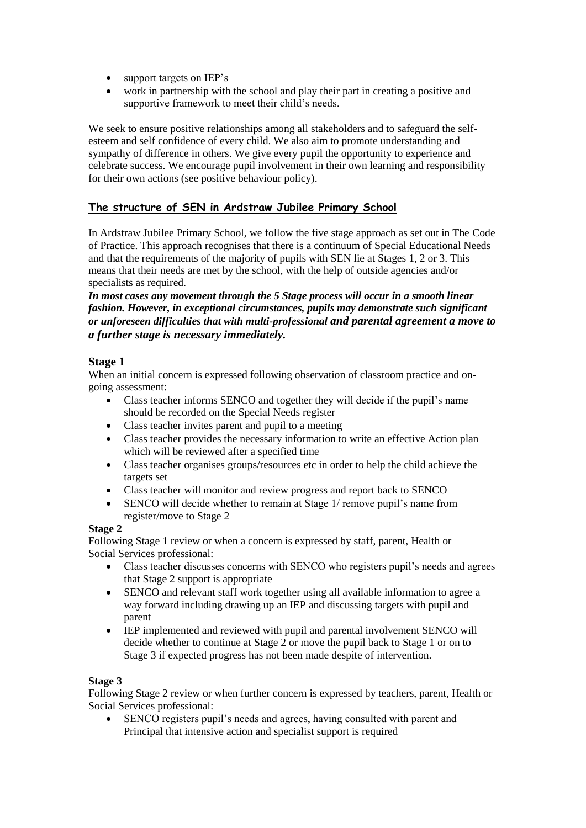- support targets on IEP's
- work in partnership with the school and play their part in creating a positive and supportive framework to meet their child's needs.

We seek to ensure positive relationships among all stakeholders and to safeguard the selfesteem and self confidence of every child. We also aim to promote understanding and sympathy of difference in others. We give every pupil the opportunity to experience and celebrate success. We encourage pupil involvement in their own learning and responsibility for their own actions (see positive behaviour policy).

# **The structure of SEN in Ardstraw Jubilee Primary School**

In Ardstraw Jubilee Primary School, we follow the five stage approach as set out in The Code of Practice. This approach recognises that there is a continuum of Special Educational Needs and that the requirements of the majority of pupils with SEN lie at Stages 1, 2 or 3. This means that their needs are met by the school, with the help of outside agencies and/or specialists as required.

*In most cases any movement through the 5 Stage process will occur in a smooth linear fashion. However, in exceptional circumstances, pupils may demonstrate such significant or unforeseen difficulties that with multi-professional and parental agreement a move to a further stage is necessary immediately.*

# **Stage 1**

When an initial concern is expressed following observation of classroom practice and ongoing assessment:

- Class teacher informs SENCO and together they will decide if the pupil's name should be recorded on the Special Needs register
- Class teacher invites parent and pupil to a meeting
- Class teacher provides the necessary information to write an effective Action plan which will be reviewed after a specified time
- Class teacher organises groups/resources etc in order to help the child achieve the targets set
- Class teacher will monitor and review progress and report back to SENCO
- SENCO will decide whether to remain at Stage 1/ remove pupil's name from register/move to Stage 2

## **Stage 2**

Following Stage 1 review or when a concern is expressed by staff, parent, Health or Social Services professional:

- Class teacher discusses concerns with SENCO who registers pupil's needs and agrees that Stage 2 support is appropriate
- SENCO and relevant staff work together using all available information to agree a way forward including drawing up an IEP and discussing targets with pupil and parent
- IEP implemented and reviewed with pupil and parental involvement SENCO will decide whether to continue at Stage 2 or move the pupil back to Stage 1 or on to Stage 3 if expected progress has not been made despite of intervention.

## **Stage 3**

Following Stage 2 review or when further concern is expressed by teachers, parent, Health or Social Services professional:

 SENCO registers pupil's needs and agrees, having consulted with parent and Principal that intensive action and specialist support is required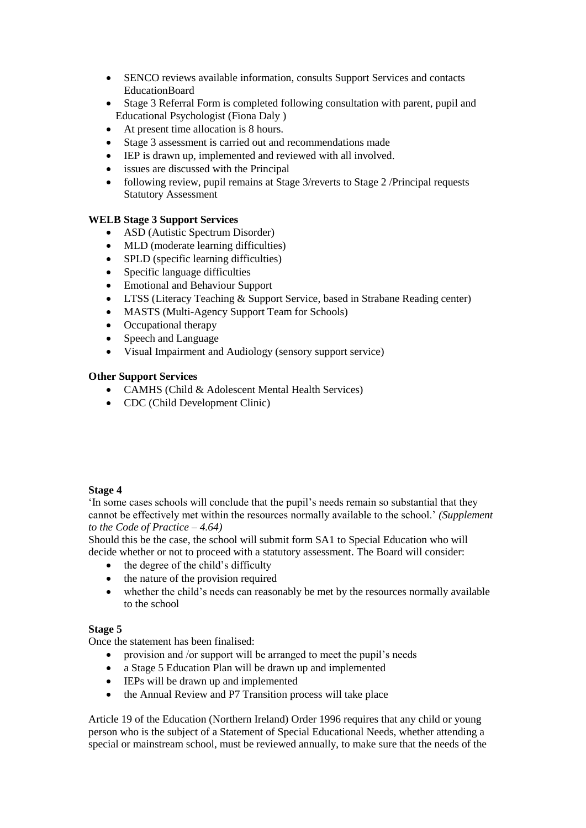- SENCO reviews available information, consults Support Services and contacts EducationBoard
- Stage 3 Referral Form is completed following consultation with parent, pupil and Educational Psychologist (Fiona Daly )
- At present time allocation is 8 hours.
- Stage 3 assessment is carried out and recommendations made
- IEP is drawn up, implemented and reviewed with all involved.
- issues are discussed with the Principal
- following review, pupil remains at Stage 3/reverts to Stage 2 /Principal requests Statutory Assessment

## **WELB Stage 3 Support Services**

- ASD (Autistic Spectrum Disorder)
- MLD (moderate learning difficulties)
- SPLD (specific learning difficulties)
- Specific language difficulties
- Emotional and Behaviour Support
- LTSS (Literacy Teaching & Support Service, based in Strabane Reading center)
- MASTS (Multi-Agency Support Team for Schools)
- Occupational therapy
- Speech and Language
- Visual Impairment and Audiology (sensory support service)

## **Other Support Services**

- CAMHS (Child & Adolescent Mental Health Services)
- CDC (Child Development Clinic)

## **Stage 4**

'In some cases schools will conclude that the pupil's needs remain so substantial that they cannot be effectively met within the resources normally available to the school.' *(Supplement to the Code of Practice – 4.64)*

Should this be the case, the school will submit form SA1 to Special Education who will decide whether or not to proceed with a statutory assessment. The Board will consider:

- $\bullet$  the degree of the child's difficulty
- the nature of the provision required
- whether the child's needs can reasonably be met by the resources normally available to the school

## **Stage 5**

Once the statement has been finalised:

- provision and /or support will be arranged to meet the pupil's needs
- a Stage 5 Education Plan will be drawn up and implemented
- IEPs will be drawn up and implemented
- the Annual Review and P7 Transition process will take place

Article 19 of the Education (Northern Ireland) Order 1996 requires that any child or young person who is the subject of a Statement of Special Educational Needs, whether attending a special or mainstream school, must be reviewed annually, to make sure that the needs of the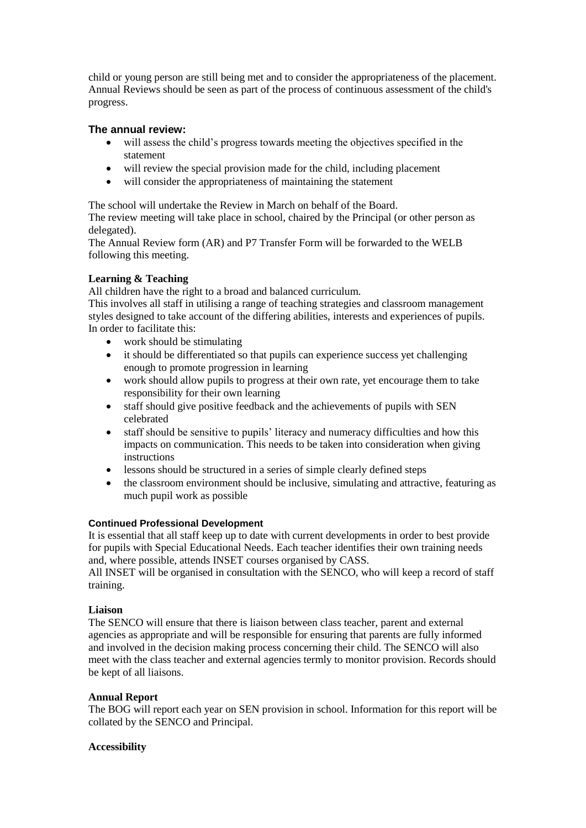child or young person are still being met and to consider the appropriateness of the placement. Annual Reviews should be seen as part of the process of continuous assessment of the child's progress.

## **The annual review:**

- will assess the child's progress towards meeting the objectives specified in the statement
- will review the special provision made for the child, including placement
- will consider the appropriateness of maintaining the statement

The school will undertake the Review in March on behalf of the Board.

The review meeting will take place in school, chaired by the Principal (or other person as delegated).

The Annual Review form (AR) and P7 Transfer Form will be forwarded to the WELB following this meeting.

# **Learning & Teaching**

All children have the right to a broad and balanced curriculum.

This involves all staff in utilising a range of teaching strategies and classroom management styles designed to take account of the differing abilities, interests and experiences of pupils. In order to facilitate this:

- work should be stimulating
- it should be differentiated so that pupils can experience success yet challenging enough to promote progression in learning
- work should allow pupils to progress at their own rate, yet encourage them to take responsibility for their own learning
- staff should give positive feedback and the achievements of pupils with SEN celebrated
- staff should be sensitive to pupils' literacy and numeracy difficulties and how this impacts on communication. This needs to be taken into consideration when giving instructions
- lessons should be structured in a series of simple clearly defined steps
- the classroom environment should be inclusive, simulating and attractive, featuring as much pupil work as possible

## **Continued Professional Development**

It is essential that all staff keep up to date with current developments in order to best provide for pupils with Special Educational Needs. Each teacher identifies their own training needs and, where possible, attends INSET courses organised by CASS.

All INSET will be organised in consultation with the SENCO, who will keep a record of staff training.

## **Liaison**

The SENCO will ensure that there is liaison between class teacher, parent and external agencies as appropriate and will be responsible for ensuring that parents are fully informed and involved in the decision making process concerning their child. The SENCO will also meet with the class teacher and external agencies termly to monitor provision. Records should be kept of all liaisons.

## **Annual Report**

The BOG will report each year on SEN provision in school. Information for this report will be collated by the SENCO and Principal.

## **Accessibility**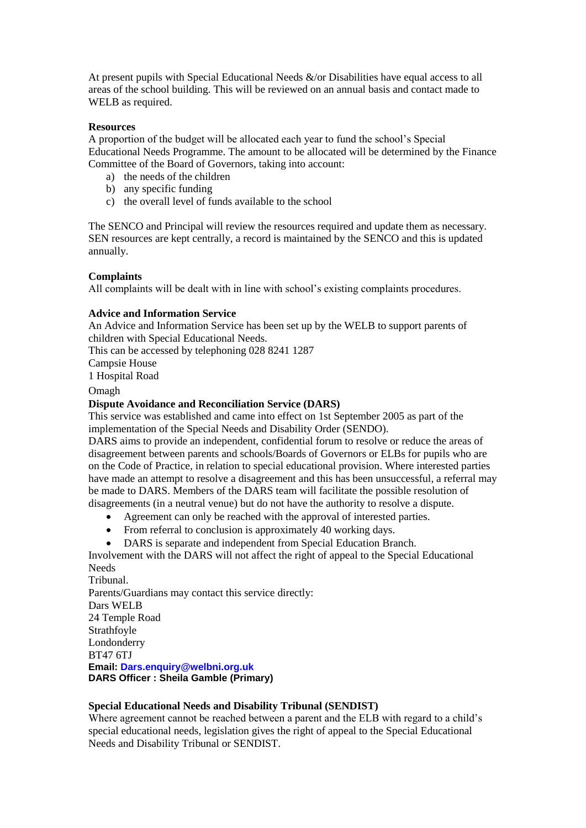At present pupils with Special Educational Needs &/or Disabilities have equal access to all areas of the school building. This will be reviewed on an annual basis and contact made to WELB as required.

#### **Resources**

A proportion of the budget will be allocated each year to fund the school's Special Educational Needs Programme. The amount to be allocated will be determined by the Finance Committee of the Board of Governors, taking into account:

- a) the needs of the children
- b) any specific funding
- c) the overall level of funds available to the school

The SENCO and Principal will review the resources required and update them as necessary. SEN resources are kept centrally, a record is maintained by the SENCO and this is updated annually.

#### **Complaints**

All complaints will be dealt with in line with school's existing complaints procedures.

#### **Advice and Information Service**

An Advice and Information Service has been set up by the WELB to support parents of children with Special Educational Needs.

This can be accessed by telephoning 028 8241 1287

Campsie House

1 Hospital Road

**Omagh** 

#### **Dispute Avoidance and Reconciliation Service (DARS)**

This service was established and came into effect on 1st September 2005 as part of the implementation of the Special Needs and Disability Order (SENDO).

DARS aims to provide an independent, confidential forum to resolve or reduce the areas of disagreement between parents and schools/Boards of Governors or ELBs for pupils who are on the Code of Practice, in relation to special educational provision. Where interested parties have made an attempt to resolve a disagreement and this has been unsuccessful, a referral may be made to DARS. Members of the DARS team will facilitate the possible resolution of disagreements (in a neutral venue) but do not have the authority to resolve a dispute.

- Agreement can only be reached with the approval of interested parties.
- From referral to conclusion is approximately 40 working days.
- DARS is separate and independent from Special Education Branch.

Involvement with the DARS will not affect the right of appeal to the Special Educational **Needs** 

Tribunal. Parents/Guardians may contact this service directly: Dars WELB 24 Temple Road **Strathfoyle** Londonderry BT47 6TJ **Email: Dars.enquiry@welbni.org.uk DARS Officer : Sheila Gamble (Primary)**

#### **Special Educational Needs and Disability Tribunal (SENDIST)**

Where agreement cannot be reached between a parent and the ELB with regard to a child's special educational needs, legislation gives the right of appeal to the Special Educational Needs and Disability Tribunal or SENDIST.